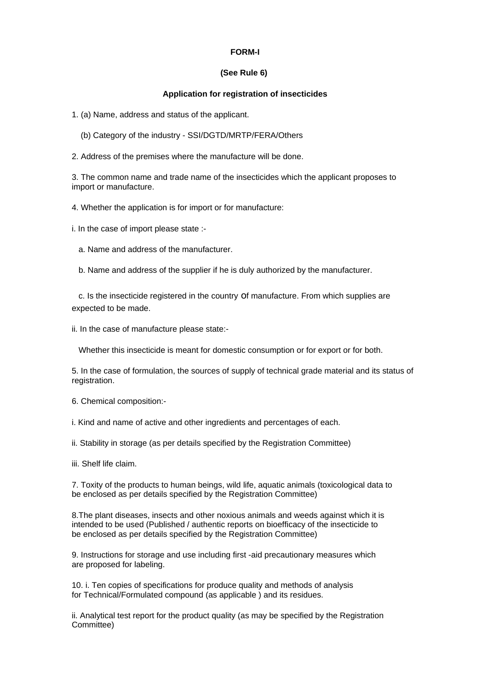## **FORM-I**

#### **(See Rule 6)**

## **Application for registration of insecticides**

- 1. (a) Name, address and status of the applicant.
	- (b) Category of the industry SSI/DGTD/MRTP/FERA/Others
- 2. Address of the premises where the manufacture will be done.

3. The common name and trade name of the insecticides which the applicant proposes to import or manufacture.

4. Whether the application is for import or for manufacture:

i. In the case of import please state :-

- a. Name and address of the manufacturer.
- b. Name and address of the supplier if he is duly authorized by the manufacturer.

 c. Is the insecticide registered in the country of manufacture. From which supplies are expected to be made.

ii. In the case of manufacture please state:-

Whether this insecticide is meant for domestic consumption or for export or for both.

5. In the case of formulation, the sources of supply of technical grade material and its status of registration.

6. Chemical composition:-

i. Kind and name of active and other ingredients and percentages of each.

- ii. Stability in storage (as per details specified by the Registration Committee)
- iii. Shelf life claim.

7. Toxity of the products to human beings, wild life, aquatic animals (toxicological data to be enclosed as per details specified by the Registration Committee)

8.The plant diseases, insects and other noxious animals and weeds against which it is intended to be used (Published / authentic reports on bioefficacy of the insecticide to be enclosed as per details specified by the Registration Committee)

9. Instructions for storage and use including first -aid precautionary measures which are proposed for labeling.

10. i. Ten copies of specifications for produce quality and methods of analysis for Technical/Formulated compound (as applicable ) and its residues.

ii. Analytical test report for the product quality (as may be specified by the Registration Committee)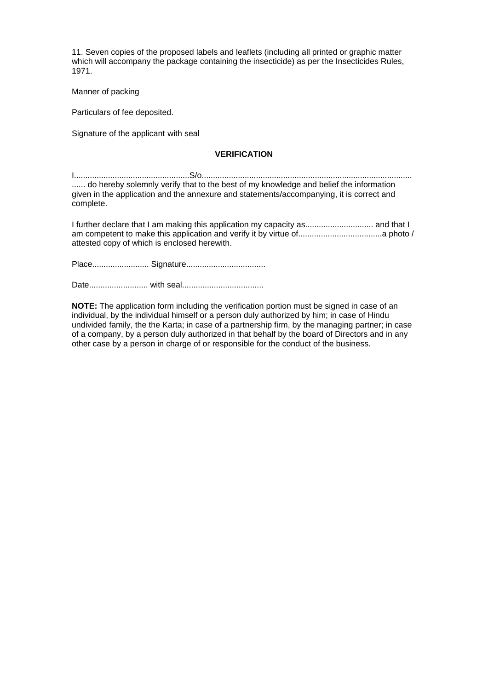11. Seven copies of the proposed labels and leaflets (including all printed or graphic matter which will accompany the package containing the insecticide) as per the Insecticides Rules, 1971.

Manner of packing

Particulars of fee deposited.

Signature of the applicant with seal

#### **VERIFICATION**

I...................................................S/o............................................................................................. ...... do hereby solemnly verify that to the best of my knowledge and belief the information given in the application and the annexure and statements/accompanying, it is correct and complete.

I further declare that I am making this application my capacity as.............................. and that I am competent to make this application and verify it by virtue of.....................................a photo / attested copy of which is enclosed herewith.

Place......................... Signature...................................

Date.......................... with seal....................................

**NOTE:** The application form including the verification portion must be signed in case of an individual, by the individual himself or a person duly authorized by him; in case of Hindu undivided family, the the Karta; in case of a partnership firm, by the managing partner; in case of a company, by a person duly authorized in that behalf by the board of Directors and in any other case by a person in charge of or responsible for the conduct of the business.